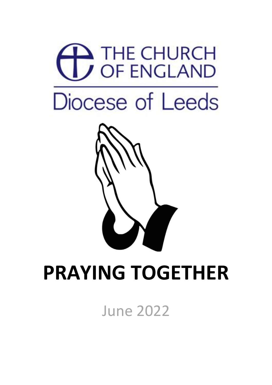

June 2022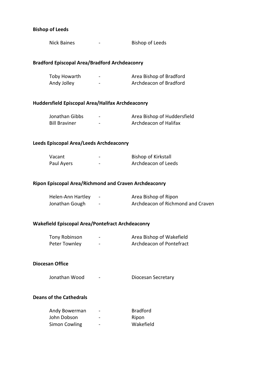# **Bishop of Leeds**

| נוטווטן וט קטוונוש                                      |                                                            |
|---------------------------------------------------------|------------------------------------------------------------|
| <b>Nick Baines</b>                                      | <b>Bishop of Leeds</b>                                     |
| <b>Bradford Episcopal Area/Bradford Archdeaconry</b>    |                                                            |
| Toby Howarth<br>Andy Jolley                             | - <b>Area Bishop of Bradford</b><br>Archdeacon of Bradford |
| Huddersfield Episcopal Area/Halifax Archdeaconry        |                                                            |
| Jonathan Gibbs<br><b>Bill Braviner</b>                  | Area Bishop of Huddersfield<br>Archdeacon of Halifax       |
| Leeds Episcopal Area/Leeds Archdeaconry                 |                                                            |
| Vacant<br>Paul Ayers                                    | <b>Bishop of Kirkstall</b><br>Archdeacon of Leeds          |
| Ripon Episcopal Area/Richmond and Craven Archdeaconry   |                                                            |
| Helen-Ann Hartley -<br>Jonathan Gough Fame              | Area Bishop of Ripon<br>Archdeacon of Richmond and Craven  |
| <b>Wakefield Episcopal Area/Pontefract Archdeaconry</b> |                                                            |
| Tony Robinson<br>Peter Townley                          | Area Bishop of Wakefield<br>Archdeacon of Pontefract       |
|                                                         |                                                            |

#### **Diocesan Office**

Jonathan Wood - **Diocesan Secretary** 

#### **Deans of the Cathedrals**

| Andy Bowerman | -                        | <b>Bradford</b> |
|---------------|--------------------------|-----------------|
| John Dobson   | $\overline{\phantom{0}}$ | Ripon           |
| Simon Cowling | -                        | Wakefield       |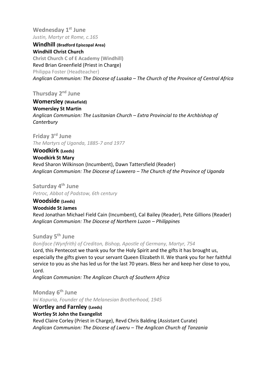**Wednesday 1 st June** *Justin, Martyr at Rome, c.165*

**Windhill (Bradford Episcopal Area) Windhill Christ Church Christ Church C of E Academy (Windhill)** Revd Brian Greenfield (Priest in Charge) Philippa Foster (Headteacher) *Anglican Communion: The Diocese of Lusaka – The Church of the Province of Central Africa*

**Thursday 2 nd June**

**Womersley (Wakefield) Womersley St Martin** *Anglican Communion: The Lusitanian Church – Extra Provincial to the Archbishop of Canterbury*

**Friday** 3<sup>rd</sup> June *The Martyrs of Uganda, 1885-7 and 1977*

**Woodkirk (Leeds) Woodkirk St Mary** Revd Sharon Wilkinson (Incumbent), Dawn Tattersfield (Reader) *Anglican Communion: The Diocese of Luweero – The Church of the Province of Uganda*

**Saturday 4 th June** *Petroc, Abbot of Padstow, 6th century*

**Woodside (Leeds) Woodside St James** Revd Jonathan Michael Field Cain (Incumbent), Cal Bailey (Reader), Pete Gillions (Reader) *Anglican Communion: The Diocese of Northern Luzon – Philippines*

**Sunday 5 th June**

*Boniface (Wynfrith) of Crediton, Bishop, Apostle of Germany, Martyr, 754*

Lord, this Pentecost we thank you for the Holy Spirit and the gifts it has brought us, especially the gifts given to your servant Queen Elizabeth II. We thank you for her faithful service to you as she has led us for the last 70 years. Bless her and keep her close to you, Lord.

*Anglican Communion: The Anglican Church of Southern Africa*

**Monday 6 th June** *Ini Kopuria, Founder of the Melanesian Brotherhood, 1945*

**Wortley and Farnley (Leeds) Wortley St John the Evangelist** Revd Claire Corley (Priest in Charge), Revd Chris Balding (Assistant Curate) *Anglican Communion: The Diocese of Lweru – The Anglican Church of Tanzania*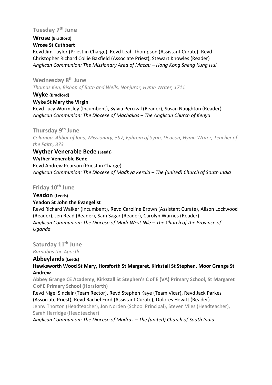# **Tuesday 7 th June**

#### **Wrose (Bradford) Wrose St Cuthbert**

Revd Jim Taylor (Priest in Charge), Revd Leah Thompson (Assistant Curate), Revd Christopher Richard Collie Baxfield (Associate Priest), Stewart Knowles (Reader) *Anglican Communion: The Missionary Area of Macau – Hong Kong Sheng Kung Hui*

# **Wednesday 8 th June**

*Thomas Ken, Bishop of Bath and Wells, Nonjuror, Hymn Writer, 1711*

#### **Wyke (Bradford)**

#### **Wyke St Mary the Virgin**

Revd Lucy Wormsley (Incumbent), Sylvia Percival (Reader), Susan Naughton (Reader) *Anglican Communion: The Diocese of Machakos – The Anglican Church of Kenya*

**Thursday 9 th June** *Columba, Abbot of Iona, Missionary, 597; Ephrem of Syria, Deacon, Hymn Writer, Teacher of the Faith, 373*

# **Wyther Venerable Bede (Leeds)**

**Wyther Venerable Bede** Revd Andrew Pearson (Priest in Charge) *Anglican Communion: The Diocese of Madhya Kerala – The (united) Church of South India*

# **Friday 10th June**

# **Yeadon (Leeds)**

# **Yeadon St John the Evangelist**

Revd Richard Walker (Incumbent), Revd Caroline Brown (Assistant Curate), Alison Lockwood (Reader), Jen Read (Reader), Sam Sagar (Reader), Carolyn Warnes (Reader) *Anglican Communion: The Diocese of Madi-West Nile – The Church of the Province of Uganda*

**Saturday 11th June**

*Barnabas the Apostle*

# **Abbeylands (Leeds)**

**Hawksworth Wood St Mary, Horsforth St Margaret, Kirkstall St Stephen, Moor Grange St Andrew**

**Abbey Grange CE Academy, Kirkstall St Stephen's C of E (VA) Primary School, St Margaret C of E Primary School (Horsforth)**

Revd Nigel Sinclair (Team Rector), Revd Stephen Kaye (Team Vicar), Revd Jack Parkes (Associate Priest), Revd Rachel Ford (Assistant Curate), Dolores Hewitt (Reader)

Jenny Thorton (Headteacher), Jon Norden (School Principal), Steven Viles (Headteacher), Sarah Harridge (Headteacher)

*Anglican Communion: The Diocese of Madras – The (united) Church of South India*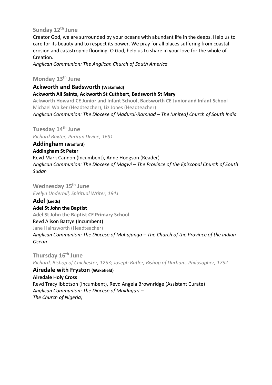# **Sunday 12th June**

Creator God, we are surrounded by your oceans with abundant life in the deeps. Help us to care for its beauty and to respect its power. We pray for all places suffering from coastal erosion and catastrophic flooding. O God, help us to share in your love for the whole of Creation.

*Anglican Communion: The Anglican Church of South America*

# **Monday 13th June**

**Ackworth and Badsworth (Wakefield)**

**Ackworth All Saints, Ackworth St Cuthbert, Badsworth St Mary**

**Ackworth Howard CE Junior and Infant School, Badsworth CE Junior and Infant School** Michael Walker (Headteacher), Liz Jones (Headteacher)

*Anglican Communion: The Diocese of Madurai-Ramnad – The (united) Church of South India*

**Tuesday 14th June** *Richard Baxter, Puritan Divine, 1691*

**Addingham (Bradford) Addingham St Peter** Revd Mark Cannon (Incumbent), Anne Hodgson (Reader) *Anglican Communion: The Diocese of Magwi – The Province of the Episcopal Church of South Sudan*

**Wednesday 15th June** *Evelyn Underhill, Spiritual Writer, 1941*

**Adel (Leeds) Adel St John the Baptist Adel St John the Baptist CE Primary School** Revd Alison Battye (Incumbent) Jane Hainsworth (Headteacher) *Anglican Communion: The Diocese of Mahajanga – The Church of the Province of the Indian Ocean*

**Thursday 16th June** *Richard, Bishop of Chichester, 1253; Joseph Butler, Bishop of Durham, Philosopher, 1752* **Airedale with Fryston (Wakefield)**

**Airedale Holy Cross** Revd Tracy Ibbotson (Incumbent), Revd Angela Brownridge (Assistant Curate) *Anglican Communion: The Diocese of Maiduguri – The Church of Nigeria)*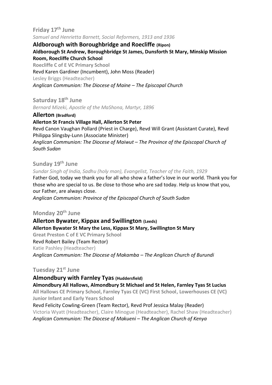# **Friday 17th June** *Samuel and Henrietta Barnett, Social Reformers, 1913 and 1936*

**Aldborough with Boroughbridge and Roecliffe (Ripon) Aldborough St Andrew, Boroughbridge St James, Dunsforth St Mary, Minskip Mission Room, Roecliffe Church School Roecliffe C of E VC Primary School** Revd Karen Gardiner (Incumbent), John Moss (Reader) Lesley Briggs (Headteacher)

*Anglican Communion: The Diocese of Maine – The Episcopal Church*

**Saturday 18th June**

*Bernard Mizeki, Apostle of the MaShona, Martyr, 1896*

**Allerton (Bradford)**

**Allerton St Francis Village Hall, Allerton St Peter**  Revd Canon Vaughan Pollard (Priest in Charge), Revd Will Grant (Assistant Curate), Revd Philippa Slingsby-Lunn (Associate Minister) *Anglican Communion: The Diocese of Maiwut – The Province of the Episcopal Church of South Sudan*

# **Sunday 19th June**

*Sundar Singh of India, Sadhu (holy man), Evangelist, Teacher of the Faith, 1929*

Father God, today we thank you for all who show a father's love in our world. Thank you for those who are special to us. Be close to those who are sad today. Help us know that you, our Father, are always close.

*Anglican Communion: Province of the Episcopal Church of South Sudan*

# **Monday 20th June**

**Allerton Bywater, Kippax and Swillington (Leeds) Allerton Bywater St Mary the Less, Kippax St Mary, Swillington St Mary Great Preston C of E VC Primary School**  Revd Robert Bailey (Team Rector) Katie Pashley (Headteacher) *Anglican Communion: The Diocese of Makamba – The Anglican Church of Burundi*

# **Tuesday 21st June**

**Almondbury with Farnley Tyas (Huddersfield)**

**Almondbury All Hallows, Almondbury St Michael and St Helen, Farnley Tyas St Lucius All Hallows CE Primary School, Farnley Tyas CE (VC) First School, Lowerhouses CE (VC) Junior Infant and Early Years School**

Revd Felicity Cowling-Green (Team Rector), Revd Prof Jessica Malay (Reader) Victoria Wyatt (Headteacher), Claire Minogue (Headteacher), Rachel Shaw (Headteacher) *Anglican Communion: The Diocese of Makueni – The Anglican Church of Kenya*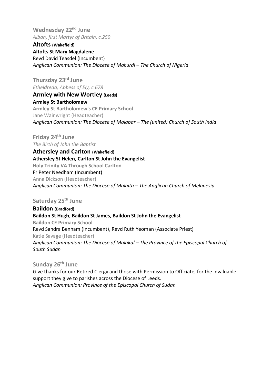**Wednesday 22nd June** *Alban, first Martyr of Britain, c.250*

**Altofts (Wakefield) Altofts St Mary Magdalene** Revd David Teasdel (Incumbent) *Anglican Communion: The Diocese of Makurdi – The Church of Nigeria*

**Thursday 23rd June** *Etheldreda, Abbess of Ely, c.678* **Armley with New Wortley (Leeds)**

**Armley St Bartholomew Armley St Bartholomew's CE Primary School** Jane Wainwright (Headteacher) *Anglican Communion: The Diocese of Malabar – The (united) Church of South India*

**Friday 24th June** *The Birth of John the Baptist*

**Athersley and Carlton (Wakefield) Athersley St Helen, Carlton St John the Evangelist Holy Trinity VA Through School Carlton** Fr Peter Needham (Incumbent) Anna Dickson (Headteacher) *Anglican Communion: The Diocese of Malaita – The Anglican Church of Melanesia*

**Saturday 25th June**

**Baildon (Bradford) Baildon St Hugh, Baildon St James, Baildon St John the Evangelist Baildon CE Primary School** Revd Sandra Benham (Incumbent), Revd Ruth Yeoman (Associate Priest) Katie Savage (Headteacher) *Anglican Communion: The Diocese of Malakal – The Province of the Episcopal Church of South Sudan*

# **Sunday 26th June**

Give thanks for our Retired Clergy and those with Permission to Officiate, for the invaluable support they give to parishes across the Diocese of Leeds. *Anglican Communion: Province of the Episcopal Church of Sudan*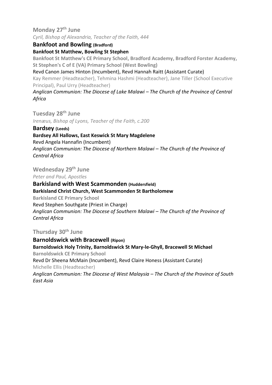**Monday 27th June** *Cyril, Bishop of Alexandria, Teacher of the Faith, 444*

**Bankfoot and Bowling (Bradford)**

**Bankfoot St Matthew, Bowling St Stephen**

**Bankfoot St Matthew's CE Primary School, Bradford Academy, Bradford Forster Academy, St Stephen's C of E (VA) Primary School (West Bowling)**

Revd Canon James Hinton (Incumbent), Revd Hannah Raitt (Assistant Curate)

Kay Remmer (Headteacher), Tehmina Hashmi (Headteacher), Jane Tiller (School Executive Principal), Paul Urry (Headteacher)

*Anglican Communion: The Diocese of Lake Malawi – The Church of the Province of Central Africa*

**Tuesday 28th June** *Irenæus, Bishop of Lyons, Teacher of the Faith, c.200*

**Bardsey (Leeds)**

**Bardsey All Hallows, East Keswick St Mary Magdelene**

Revd Angela Hannafin (Incumbent) *Anglican Communion: The Diocese of Northern Malawi – The Church of the Province of Central Africa*

**Wednesday 29th June**

*Peter and Paul, Apostles*

#### **Barkisland with West Scammonden (Huddersfield)**

**Barkisland Christ Church, West Scammonden St Bartholomew**

**Barkisland CE Primary School** Revd Stephen Southgate (Priest in Charge) *Anglican Communion: The Diocese of Southern Malawi – The Church of the Province of Central Africa*

**Thursday 30th June**

**Barnoldswick with Bracewell (Ripon) Barnoldswick Holy Trinity, Barnoldswick St Mary-le-Ghyll, Bracewell St Michael Barnoldswick CE Primary School** Revd Dr Sheena McMain (Incumbent), Revd Claire Honess (Assistant Curate) Michelle Ellis (Headteacher) *Anglican Communion: The Diocese of West Malaysia – The Church of the Province of South* 

*East Asia*